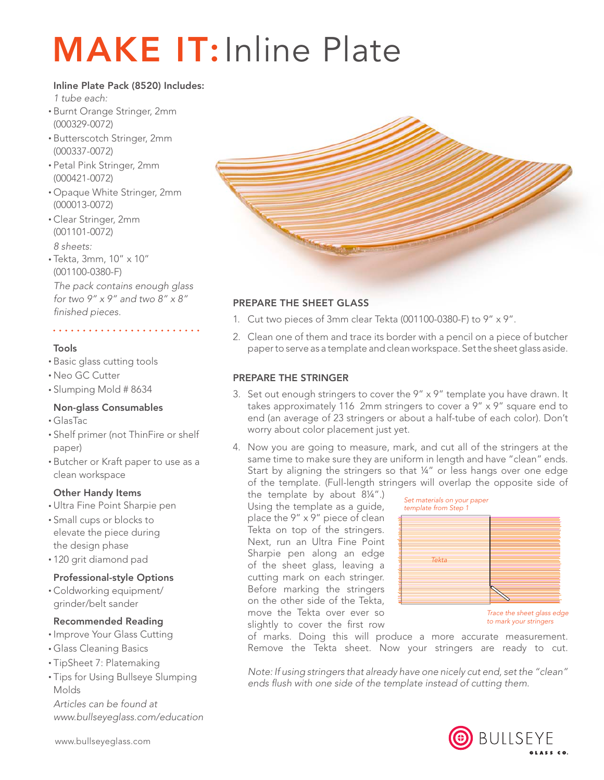# **MAKE IT: Inline Plate**

# Inline Plate Pack (8520) Includes:

*1 tube each:*

- • Burnt Orange Stringer, 2mm (000329-0072)
- • Butterscotch Stringer, 2mm (000337-0072)
- • Petal Pink Stringer, 2mm (000421-0072)
- • Opaque White Stringer, 2mm (000013-0072)
- • Clear Stringer, 2mm (001101-0072) *8 sheets:*
- • Tekta, 3mm, 10" x 10" (001100-0380-F)

*The pack contains enough glass for two 9" x 9" and two 8" x 8" finished pieces.*

# Tools

- • Basic glass cutting tools
- • Neo GC Cutter
- • Slumping Mold # 8634

# Non-glass Consumables

- • GlasTac
- • Shelf primer (not ThinFire or shelf paper)
- • Butcher or Kraft paper to use as a clean workspace

# Other Handy Items

- • Ultra Fine Point Sharpie pen
- • Small cups or blocks to elevate the piece during the design phase
- • 120 grit diamond pad

# Professional-style Options

• Coldworking equipment/ grinder/belt sander

# Recommended Reading

- Improve Your Glass Cutting
- • Glass Cleaning Basics
- • TipSheet 7: Platemaking
- Tips for Using Bullseye Slumping Molds

*Articles can be found at www.bullseyeglass.com/education*

www.bullseyeglass.com



# Prepare the sheet glass

- 1. Cut two pieces of 3mm clear Tekta (001100-0380-F) to 9" x 9".
- 2. Clean one of them and trace its border with a pencil on a piece of butcher paper to serve as a template and clean workspace. Set the sheet glass aside.

#### Prepare the stringer

- 3. Set out enough stringers to cover the  $9'' \times 9''$  template you have drawn. It takes approximately 116 2mm stringers to cover a 9" x 9" square end to end (an average of 23 stringers or about a half-tube of each color). Don't worry about color placement just yet.
- 4. Now you are going to measure, mark, and cut all of the stringers at the same time to make sure they are uniform in length and have "clean" ends. Start by aligning the stringers so that ¼" or less hangs over one edge of the template. (Full-length stringers will overlap the opposite side of

the template by about 8¼".) Using the template as a guide, place the 9" x 9" piece of clean Tekta on top of the stringers. Next, run an Ultra Fine Point Sharpie pen along an edge of the sheet glass, leaving a cutting mark on each stringer. Before marking the stringers on the other side of the Tekta, move the Tekta over ever so slightly to cover the first row



of marks. Doing this will produce a more accurate measurement. Remove the Tekta sheet. Now your stringers are ready to cut.

*Note: If using stringers that already have one nicely cut end, set the "clean" ends flush with one side of the template instead of cutting them.*